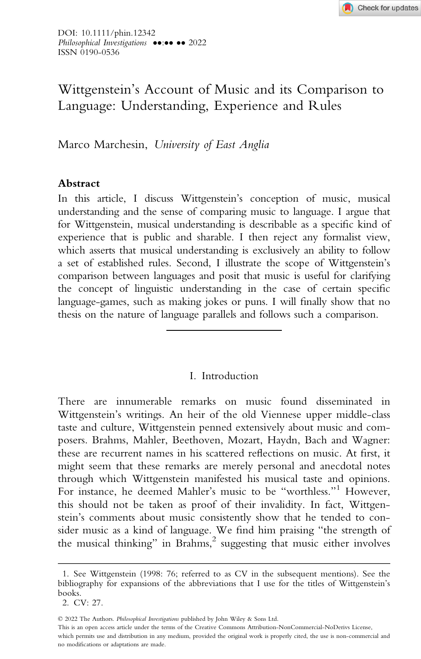# Wittgenstein's Account of Music and its Comparison to Language: Understanding, Experience and Rules

Marco Marchesin, University of East Anglia

## Abstract

In this article, I discuss Wittgenstein's conception of music, musical understanding and the sense of comparing music to language. I argue that for Wittgenstein, musical understanding is describable as a specific kind of experience that is public and sharable. I then reject any formalist view, which asserts that musical understanding is exclusively an ability to follow a set of established rules. Second, I illustrate the scope of Wittgenstein's comparison between languages and posit that music is useful for clarifying the concept of linguistic understanding in the case of certain specific language-games, such as making jokes or puns. I will finally show that no thesis on the nature of language parallels and follows such a comparison.

## I. Introduction

There are innumerable remarks on music found disseminated in Wittgenstein's writings. An heir of the old Viennese upper middle-class taste and culture, Wittgenstein penned extensively about music and composers. Brahms, Mahler, Beethoven, Mozart, Haydn, Bach and Wagner: these are recurrent names in his scattered reflections on music. At first, it might seem that these remarks are merely personal and anecdotal notes through which Wittgenstein manifested his musical taste and opinions. For instance, he deemed Mahler's music to be "worthless."<sup>1</sup> However, this should not be taken as proof of their invalidity. In fact, Wittgenstein's comments about music consistently show that he tended to consider music as a kind of language. We find him praising "the strength of the musical thinking" in Brahms,<sup>2</sup> suggesting that music either involves

This is an open access article under the terms of the Creative Commons Attribution-NonCommercial-NoDerivs License,

which permits use and distribution in any medium, provided the original work is properly cited, the use is non-commercial and no modifications or adaptations are made.

<sup>1.</sup> See Wittgenstein (1998: 76; referred to as CV in the subsequent mentions). See the bibliography for expansions of the abbreviations that I use for the titles of Wittgenstein's books.

<sup>2.</sup> CV: 27.

<sup>©</sup> 2022 The Authors. Philosophical Investigations published by John Wiley & Sons Ltd.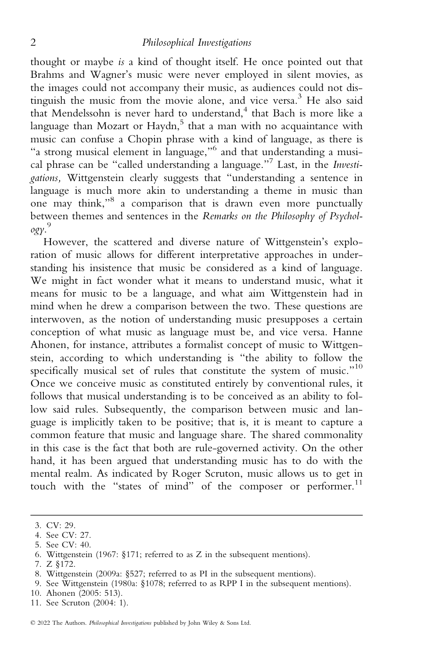thought or maybe is a kind of thought itself. He once pointed out that Brahms and Wagner's music were never employed in silent movies, as the images could not accompany their music, as audiences could not distinguish the music from the movie alone, and vice versa.<sup>3</sup> He also said that Mendelssohn is never hard to understand,<sup>4</sup> that Bach is more like a language than Mozart or Haydn,<sup>5</sup> that a man with no acquaintance with music can confuse a Chopin phrase with a kind of language, as there is "a strong musical element in language,"<sup>6</sup> and that understanding a musical phrase can be "called understanding a language."<sup>7</sup> Last, in the Investigations, Wittgenstein clearly suggests that "understanding a sentence in language is much more akin to understanding a theme in music than one may think,"<sup>8</sup> a comparison that is drawn even more punctually between themes and sentences in the Remarks on the Philosophy of Psychology. 9

However, the scattered and diverse nature of Wittgenstein's exploration of music allows for different interpretative approaches in understanding his insistence that music be considered as a kind of language. We might in fact wonder what it means to understand music, what it means for music to be a language, and what aim Wittgenstein had in mind when he drew a comparison between the two. These questions are interwoven, as the notion of understanding music presupposes a certain conception of what music as language must be, and vice versa. Hanne Ahonen, for instance, attributes a formalist concept of music to Wittgenstein, according to which understanding is "the ability to follow the specifically musical set of rules that constitute the system of music."10 Once we conceive music as constituted entirely by conventional rules, it follows that musical understanding is to be conceived as an ability to follow said rules. Subsequently, the comparison between music and language is implicitly taken to be positive; that is, it is meant to capture a common feature that music and language share. The shared commonality in this case is the fact that both are rule-governed activity. On the other hand, it has been argued that understanding music has to do with the mental realm. As indicated by Roger Scruton, music allows us to get in touch with the "states of mind" of the composer or performer. $11$ 

10. Ahonen (2005: 513).

<sup>3.</sup> CV: 29.

<sup>4.</sup> See CV: 27.

<sup>5.</sup> See CV: 40.

<sup>6.</sup> Wittgenstein (1967: §171; referred to as Z in the subsequent mentions).

<sup>7.</sup> Z §172.

<sup>8.</sup> Wittgenstein (2009a: §527; referred to as PI in the subsequent mentions).

<sup>9.</sup> See Wittgenstein (1980a: §1078; referred to as RPP I in the subsequent mentions).

<sup>11.</sup> See Scruton (2004: 1).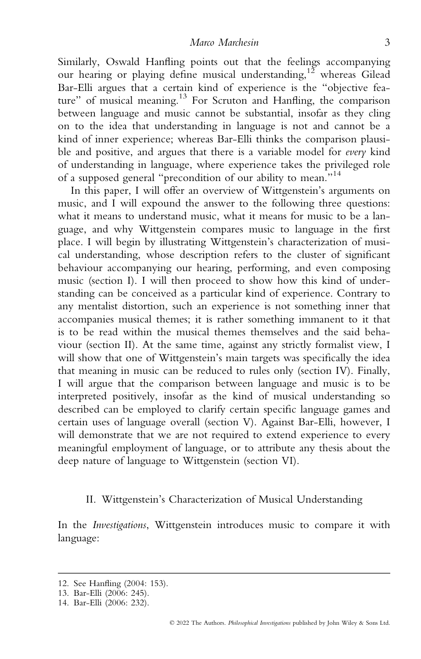Similarly, Oswald Hanfling points out that the feelings accompanying our hearing or playing define musical understanding, $12$  whereas Gilead Bar-Elli argues that a certain kind of experience is the "objective feature" of musical meaning.<sup>13</sup> For Scruton and Hanfling, the comparison between language and music cannot be substantial, insofar as they cling on to the idea that understanding in language is not and cannot be a kind of inner experience; whereas Bar-Elli thinks the comparison plausible and positive, and argues that there is a variable model for every kind of understanding in language, where experience takes the privileged role of a supposed general "precondition of our ability to mean."<sup>14</sup>

In this paper, I will offer an overview of Wittgenstein's arguments on music, and I will expound the answer to the following three questions: what it means to understand music, what it means for music to be a language, and why Wittgenstein compares music to language in the first place. I will begin by illustrating Wittgenstein's characterization of musical understanding, whose description refers to the cluster of significant behaviour accompanying our hearing, performing, and even composing music (section I). I will then proceed to show how this kind of understanding can be conceived as a particular kind of experience. Contrary to any mentalist distortion, such an experience is not something inner that accompanies musical themes; it is rather something immanent to it that is to be read within the musical themes themselves and the said behaviour (section II). At the same time, against any strictly formalist view, I will show that one of Wittgenstein's main targets was specifically the idea that meaning in music can be reduced to rules only (section IV). Finally, I will argue that the comparison between language and music is to be interpreted positively, insofar as the kind of musical understanding so described can be employed to clarify certain specific language games and certain uses of language overall (section V). Against Bar-Elli, however, I will demonstrate that we are not required to extend experience to every meaningful employment of language, or to attribute any thesis about the deep nature of language to Wittgenstein (section VI).

#### II. Wittgenstein's Characterization of Musical Understanding

In the Investigations, Wittgenstein introduces music to compare it with language:

<sup>12.</sup> See Hanfling (2004: 153).

<sup>13.</sup> Bar-Elli (2006: 245).

<sup>14.</sup> Bar-Elli (2006: 232).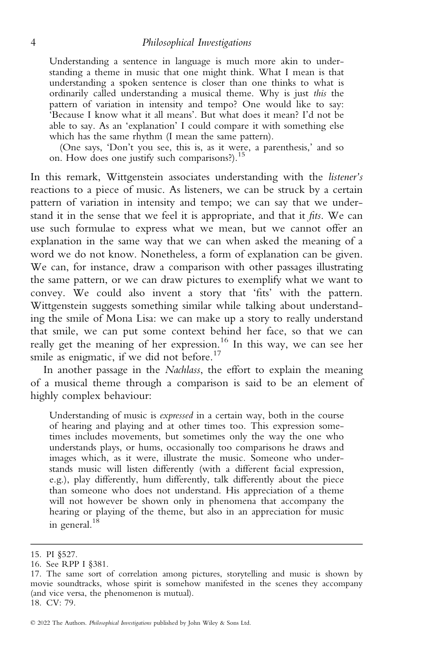Understanding a sentence in language is much more akin to understanding a theme in music that one might think. What I mean is that understanding a spoken sentence is closer than one thinks to what is ordinarily called understanding a musical theme. Why is just this the pattern of variation in intensity and tempo? One would like to say: 'Because I know what it all means'. But what does it mean? I'd not be able to say. As an 'explanation' I could compare it with something else which has the same rhythm (I mean the same pattern).

(One says, 'Don't you see, this is, as it were, a parenthesis,' and so on. How does one justify such comparisons?).<sup>15</sup>

In this remark, Wittgenstein associates understanding with the listener's reactions to a piece of music. As listeners, we can be struck by a certain pattern of variation in intensity and tempo; we can say that we understand it in the sense that we feel it is appropriate, and that it fits. We can use such formulae to express what we mean, but we cannot offer an explanation in the same way that we can when asked the meaning of a word we do not know. Nonetheless, a form of explanation can be given. We can, for instance, draw a comparison with other passages illustrating the same pattern, or we can draw pictures to exemplify what we want to convey. We could also invent a story that 'fits' with the pattern. Wittgenstein suggests something similar while talking about understanding the smile of Mona Lisa: we can make up a story to really understand that smile, we can put some context behind her face, so that we can really get the meaning of her expression.<sup>16</sup> In this way, we can see her smile as enigmatic, if we did not before.<sup>17</sup>

In another passage in the Nachlass, the effort to explain the meaning of a musical theme through a comparison is said to be an element of highly complex behaviour:

Understanding of music is expressed in a certain way, both in the course of hearing and playing and at other times too. This expression sometimes includes movements, but sometimes only the way the one who understands plays, or hums, occasionally too comparisons he draws and images which, as it were, illustrate the music. Someone who understands music will listen differently (with a different facial expression, e.g.), play differently, hum differently, talk differently about the piece than someone who does not understand. His appreciation of a theme will not however be shown only in phenomena that accompany the hearing or playing of the theme, but also in an appreciation for music in general.<sup>18</sup>

<sup>15.</sup> PI §527.

<sup>16.</sup> See RPP I §381.

<sup>17.</sup> The same sort of correlation among pictures, storytelling and music is shown by movie soundtracks, whose spirit is somehow manifested in the scenes they accompany (and vice versa, the phenomenon is mutual). 18. CV: 79.

<sup>©</sup> 2022 The Authors. Philosophical Investigations published by John Wiley & Sons Ltd.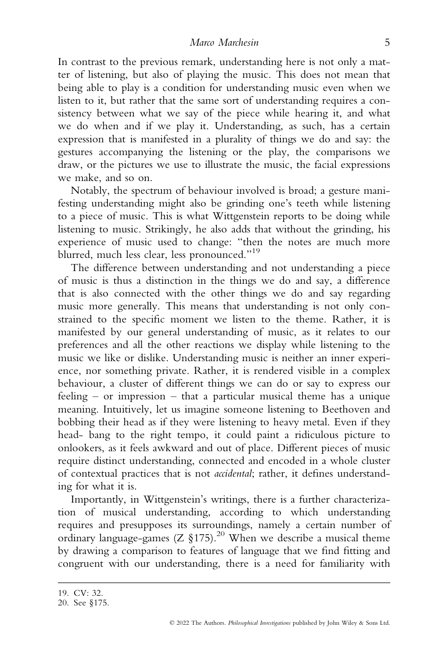In contrast to the previous remark, understanding here is not only a matter of listening, but also of playing the music. This does not mean that being able to play is a condition for understanding music even when we listen to it, but rather that the same sort of understanding requires a consistency between what we say of the piece while hearing it, and what we do when and if we play it. Understanding, as such, has a certain expression that is manifested in a plurality of things we do and say: the gestures accompanying the listening or the play, the comparisons we draw, or the pictures we use to illustrate the music, the facial expressions we make, and so on.

Notably, the spectrum of behaviour involved is broad; a gesture manifesting understanding might also be grinding one's teeth while listening to a piece of music. This is what Wittgenstein reports to be doing while listening to music. Strikingly, he also adds that without the grinding, his experience of music used to change: "then the notes are much more blurred, much less clear, less pronounced."<sup>19</sup>

The difference between understanding and not understanding a piece of music is thus a distinction in the things we do and say, a difference that is also connected with the other things we do and say regarding music more generally. This means that understanding is not only constrained to the specific moment we listen to the theme. Rather, it is manifested by our general understanding of music, as it relates to our preferences and all the other reactions we display while listening to the music we like or dislike. Understanding music is neither an inner experience, nor something private. Rather, it is rendered visible in a complex behaviour, a cluster of different things we can do or say to express our feeling – or impression – that a particular musical theme has a unique meaning. Intuitively, let us imagine someone listening to Beethoven and bobbing their head as if they were listening to heavy metal. Even if they head- bang to the right tempo, it could paint a ridiculous picture to onlookers, as it feels awkward and out of place. Different pieces of music require distinct understanding, connected and encoded in a whole cluster of contextual practices that is not accidental; rather, it defines understanding for what it is.

Importantly, in Wittgenstein's writings, there is a further characterization of musical understanding, according to which understanding requires and presupposes its surroundings, namely a certain number of ordinary language-games (Z §175).<sup>20</sup> When we describe a musical theme by drawing a comparison to features of language that we find fitting and congruent with our understanding, there is a need for familiarity with

<sup>19.</sup> CV: 32.

<sup>20.</sup> See §175.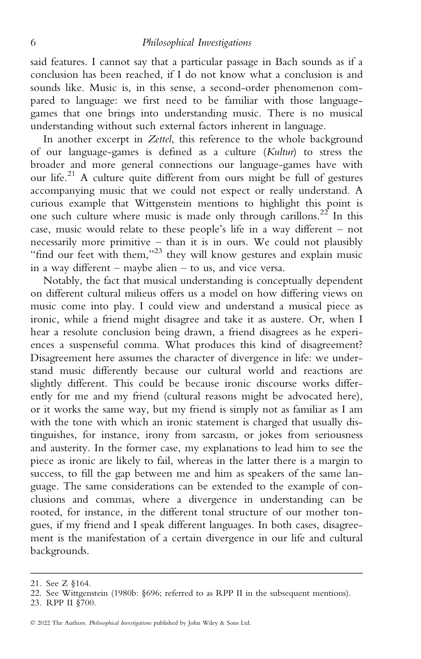said features. I cannot say that a particular passage in Bach sounds as if a conclusion has been reached, if I do not know what a conclusion is and sounds like. Music is, in this sense, a second-order phenomenon compared to language: we first need to be familiar with those languagegames that one brings into understanding music. There is no musical understanding without such external factors inherent in language.

In another excerpt in Zettel, this reference to the whole background of our language-games is defined as a culture (Kultur) to stress the broader and more general connections our language-games have with our life.<sup>21</sup> A culture quite different from ours might be full of gestures accompanying music that we could not expect or really understand. A curious example that Wittgenstein mentions to highlight this point is one such culture where music is made only through carillons.<sup>22</sup> In this case, music would relate to these people's life in a way different – not necessarily more primitive – than it is in ours. We could not plausibly "find our feet with them,"<sup>23</sup> they will know gestures and explain music in a way different – maybe alien – to us, and vice versa.

Notably, the fact that musical understanding is conceptually dependent on different cultural milieus offers us a model on how differing views on music come into play. I could view and understand a musical piece as ironic, while a friend might disagree and take it as austere. Or, when I hear a resolute conclusion being drawn, a friend disagrees as he experiences a suspenseful comma. What produces this kind of disagreement? Disagreement here assumes the character of divergence in life: we understand music differently because our cultural world and reactions are slightly different. This could be because ironic discourse works differently for me and my friend (cultural reasons might be advocated here), or it works the same way, but my friend is simply not as familiar as I am with the tone with which an ironic statement is charged that usually distinguishes, for instance, irony from sarcasm, or jokes from seriousness and austerity. In the former case, my explanations to lead him to see the piece as ironic are likely to fail, whereas in the latter there is a margin to success, to fill the gap between me and him as speakers of the same language. The same considerations can be extended to the example of conclusions and commas, where a divergence in understanding can be rooted, for instance, in the different tonal structure of our mother tongues, if my friend and I speak different languages. In both cases, disagreement is the manifestation of a certain divergence in our life and cultural backgrounds.

<sup>21.</sup> See Z §164.

<sup>22.</sup> See Wittgenstein (1980b: §696; referred to as RPP II in the subsequent mentions).

<sup>23.</sup> RPP II §700.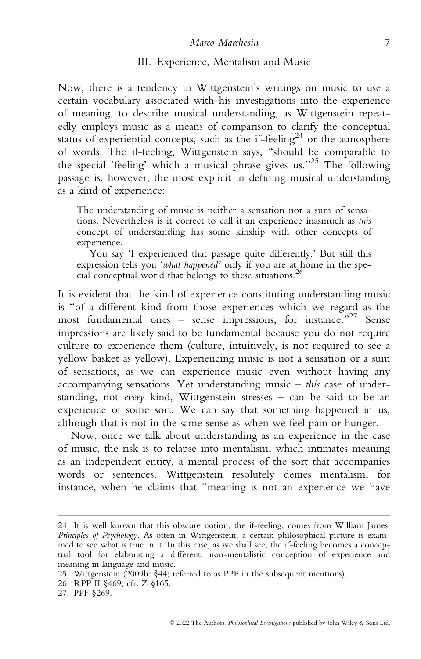#### Marco Marchesin 7

#### III. Experience, Mentalism and Music

Now, there is a tendency in Wittgenstein's writings on music to use a certain vocabulary associated with his investigations into the experience of meaning, to describe musical understanding, as Wittgenstein repeatedly employs music as a means of comparison to clarify the conceptual status of experiential concepts, such as the if-feeling<sup>24</sup> or the atmosphere of words. The if-feeling, Wittgenstein says, "should be comparable to the special 'feeling' which a musical phrase gives us."<sup>25</sup> The following passage is, however, the most explicit in defining musical understanding as a kind of experience:

The understanding of music is neither a sensation nor a sum of sensations. Nevertheless is it correct to call it an experience inasmuch as this concept of understanding has some kinship with other concepts of experience.

You say 'I experienced that passage quite differently.' But still this expression tells you 'what happened' only if you are at home in the special conceptual world that belongs to these situations.<sup>26</sup>

It is evident that the kind of experience constituting understanding music is "of a different kind from those experiences which we regard as the most fundamental ones – sense impressions, for instance."<sup>27</sup> Sense impressions are likely said to be fundamental because you do not require culture to experience them (culture, intuitively, is not required to see a yellow basket as yellow). Experiencing music is not a sensation or a sum of sensations, as we can experience music even without having any accompanying sensations. Yet understanding music  $-$  this case of understanding, not every kind, Wittgenstein stresses – can be said to be an experience of some sort. We can say that something happened in us, although that is not in the same sense as when we feel pain or hunger.

Now, once we talk about understanding as an experience in the case of music, the risk is to relapse into mentalism, which intimates meaning as an independent entity, a mental process of the sort that accompanies words or sentences. Wittgenstein resolutely denies mentalism, for instance, when he claims that "meaning is not an experience we have

26. RPP II §469; cfr. Z §165.

<sup>24.</sup> It is well known that this obscure notion, the if-feeling, comes from William James' Principles of Psychology. As often in Wittgenstein, a certain philosophical picture is examined to see what is true in it. In this case, as we shall see, the if-feeling becomes a conceptual tool for elaborating a different, non-mentalistic conception of experience and meaning in language and music.

<sup>25.</sup> Wittgenstein (2009b: §44; referred to as PPF in the subsequent mentions).

<sup>27.</sup> PPF §269.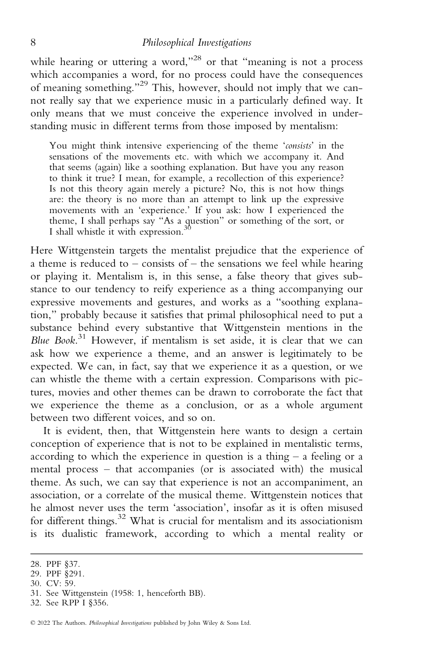while hearing or uttering a word,"<sup>28</sup> or that "meaning is not a process which accompanies a word, for no process could have the consequences of meaning something."<sup>29</sup> This, however, should not imply that we cannot really say that we experience music in a particularly defined way. It only means that we must conceive the experience involved in understanding music in different terms from those imposed by mentalism:

You might think intensive experiencing of the theme 'consists' in the sensations of the movements etc. with which we accompany it. And that seems (again) like a soothing explanation. But have you any reason to think it true? I mean, for example, a recollection of this experience? Is not this theory again merely a picture? No, this is not how things are: the theory is no more than an attempt to link up the expressive movements with an 'experience.' If you ask: how I experienced the theme, I shall perhaps say "As a question" or something of the sort, or I shall whistle it with expression.<sup>3</sup>

Here Wittgenstein targets the mentalist prejudice that the experience of a theme is reduced to – consists of – the sensations we feel while hearing or playing it. Mentalism is, in this sense, a false theory that gives substance to our tendency to reify experience as a thing accompanying our expressive movements and gestures, and works as a "soothing explanation," probably because it satisfies that primal philosophical need to put a substance behind every substantive that Wittgenstein mentions in the Blue Book.<sup>31</sup> However, if mentalism is set aside, it is clear that we can ask how we experience a theme, and an answer is legitimately to be expected. We can, in fact, say that we experience it as a question, or we can whistle the theme with a certain expression. Comparisons with pictures, movies and other themes can be drawn to corroborate the fact that we experience the theme as a conclusion, or as a whole argument between two different voices, and so on.

It is evident, then, that Wittgenstein here wants to design a certain conception of experience that is not to be explained in mentalistic terms, according to which the experience in question is a thing  $-$  a feeling or a mental process – that accompanies (or is associated with) the musical theme. As such, we can say that experience is not an accompaniment, an association, or a correlate of the musical theme. Wittgenstein notices that he almost never uses the term 'association', insofar as it is often misused for different things. $32$  What is crucial for mentalism and its associationism is its dualistic framework, according to which a mental reality or

30. CV: 59.

<sup>28.</sup> PPF §37.

<sup>29.</sup> PPF §291.

<sup>31.</sup> See Wittgenstein (1958: 1, henceforth BB).

<sup>32.</sup> See RPP I §356.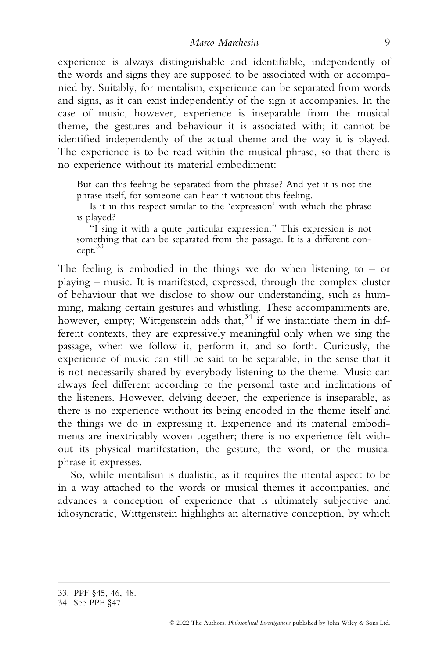experience is always distinguishable and identifiable, independently of the words and signs they are supposed to be associated with or accompanied by. Suitably, for mentalism, experience can be separated from words and signs, as it can exist independently of the sign it accompanies. In the case of music, however, experience is inseparable from the musical theme, the gestures and behaviour it is associated with; it cannot be identified independently of the actual theme and the way it is played. The experience is to be read within the musical phrase, so that there is no experience without its material embodiment:

But can this feeling be separated from the phrase? And yet it is not the phrase itself, for someone can hear it without this feeling.

Is it in this respect similar to the 'expression' with which the phrase is played?

"I sing it with a quite particular expression." This expression is not something that can be separated from the passage. It is a different concept.33

The feeling is embodied in the things we do when listening to  $-$  or playing – music. It is manifested, expressed, through the complex cluster of behaviour that we disclose to show our understanding, such as humming, making certain gestures and whistling. These accompaniments are, however, empty; Wittgenstein adds that,  $34$  if we instantiate them in different contexts, they are expressively meaningful only when we sing the passage, when we follow it, perform it, and so forth. Curiously, the experience of music can still be said to be separable, in the sense that it is not necessarily shared by everybody listening to the theme. Music can always feel different according to the personal taste and inclinations of the listeners. However, delving deeper, the experience is inseparable, as there is no experience without its being encoded in the theme itself and the things we do in expressing it. Experience and its material embodiments are inextricably woven together; there is no experience felt without its physical manifestation, the gesture, the word, or the musical phrase it expresses.

So, while mentalism is dualistic, as it requires the mental aspect to be in a way attached to the words or musical themes it accompanies, and advances a conception of experience that is ultimately subjective and idiosyncratic, Wittgenstein highlights an alternative conception, by which

<sup>33.</sup> PPF §45, 46, 48.

<sup>34.</sup> See PPF §47.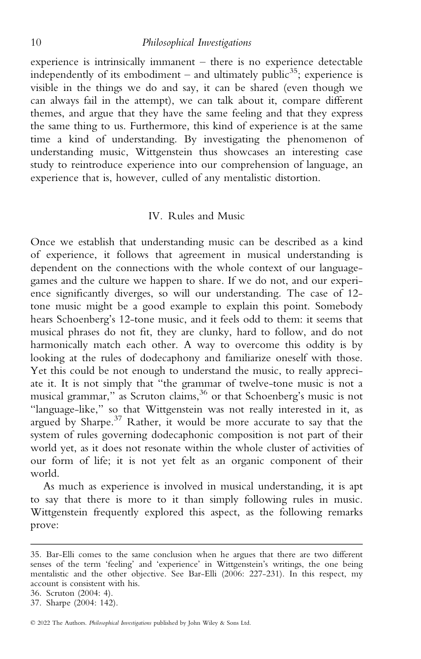experience is intrinsically immanent – there is no experience detectable independently of its embodiment – and ultimately public<sup>35</sup>; experience is visible in the things we do and say, it can be shared (even though we can always fail in the attempt), we can talk about it, compare different themes, and argue that they have the same feeling and that they express the same thing to us. Furthermore, this kind of experience is at the same time a kind of understanding. By investigating the phenomenon of understanding music, Wittgenstein thus showcases an interesting case study to reintroduce experience into our comprehension of language, an experience that is, however, culled of any mentalistic distortion.

#### IV. Rules and Music

Once we establish that understanding music can be described as a kind of experience, it follows that agreement in musical understanding is dependent on the connections with the whole context of our languagegames and the culture we happen to share. If we do not, and our experience significantly diverges, so will our understanding. The case of 12 tone music might be a good example to explain this point. Somebody hears Schoenberg's 12-tone music, and it feels odd to them: it seems that musical phrases do not fit, they are clunky, hard to follow, and do not harmonically match each other. A way to overcome this oddity is by looking at the rules of dodecaphony and familiarize oneself with those. Yet this could be not enough to understand the music, to really appreciate it. It is not simply that "the grammar of twelve-tone music is not a musical grammar," as Scruton claims,<sup>36</sup> or that Schoenberg's music is not "language-like," so that Wittgenstein was not really interested in it, as argued by Sharpe.<sup>37</sup> Rather, it would be more accurate to say that the system of rules governing dodecaphonic composition is not part of their world yet, as it does not resonate within the whole cluster of activities of our form of life; it is not yet felt as an organic component of their world.

As much as experience is involved in musical understanding, it is apt to say that there is more to it than simply following rules in music. Wittgenstein frequently explored this aspect, as the following remarks prove:

© 2022 The Authors. Philosophical Investigations published by John Wiley & Sons Ltd.

<sup>35.</sup> Bar-Elli comes to the same conclusion when he argues that there are two different senses of the term 'feeling' and 'experience' in Wittgenstein's writings, the one being mentalistic and the other objective. See Bar-Elli (2006: 227-231). In this respect, my account is consistent with his.

<sup>36.</sup> Scruton (2004: 4).

<sup>37.</sup> Sharpe (2004: 142).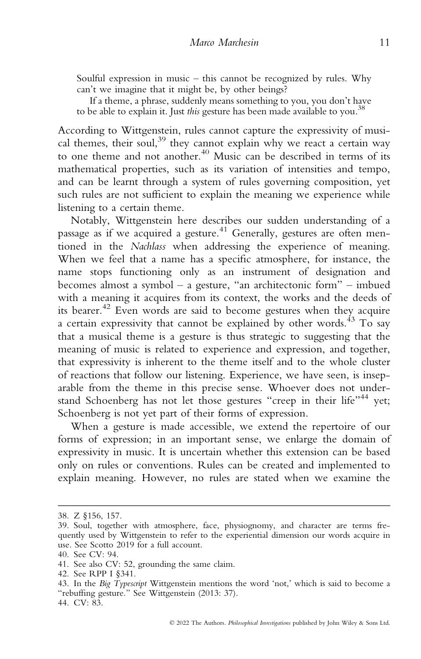Soulful expression in music – this cannot be recognized by rules. Why can't we imagine that it might be, by other beings?

If a theme, a phrase, suddenly means something to you, you don't have to be able to explain it. Just this gesture has been made available to you.<sup>38</sup>

According to Wittgenstein, rules cannot capture the expressivity of musical themes, their soul,<sup>39</sup> they cannot explain why we react a certain way to one theme and not another.<sup>40</sup> Music can be described in terms of its mathematical properties, such as its variation of intensities and tempo, and can be learnt through a system of rules governing composition, yet such rules are not sufficient to explain the meaning we experience while listening to a certain theme.

Notably, Wittgenstein here describes our sudden understanding of a passage as if we acquired a gesture.<sup>41</sup> Generally, gestures are often mentioned in the Nachlass when addressing the experience of meaning. When we feel that a name has a specific atmosphere, for instance, the name stops functioning only as an instrument of designation and becomes almost a symbol – a gesture, "an architectonic form" – imbued with a meaning it acquires from its context, the works and the deeds of its bearer.42 Even words are said to become gestures when they acquire a certain expressivity that cannot be explained by other words.<sup>43</sup> To say that a musical theme is a gesture is thus strategic to suggesting that the meaning of music is related to experience and expression, and together, that expressivity is inherent to the theme itself and to the whole cluster of reactions that follow our listening. Experience, we have seen, is inseparable from the theme in this precise sense. Whoever does not understand Schoenberg has not let those gestures "creep in their life"<sup>44</sup> yet; Schoenberg is not yet part of their forms of expression.

When a gesture is made accessible, we extend the repertoire of our forms of expression; in an important sense, we enlarge the domain of expressivity in music. It is uncertain whether this extension can be based only on rules or conventions. Rules can be created and implemented to explain meaning. However, no rules are stated when we examine the

<sup>38.</sup> Z §156, 157.

<sup>39.</sup> Soul, together with atmosphere, face, physiognomy, and character are terms frequently used by Wittgenstein to refer to the experiential dimension our words acquire in use. See Scotto 2019 for a full account.

<sup>40.</sup> See CV: 94.

<sup>41.</sup> See also CV: 52, grounding the same claim.

<sup>42.</sup> See RPP I §341.

<sup>43.</sup> In the Big Typescript Wittgenstein mentions the word 'not,' which is said to become a "rebuffing gesture." See Wittgenstein (2013: 37).

<sup>44.</sup> CV: 83.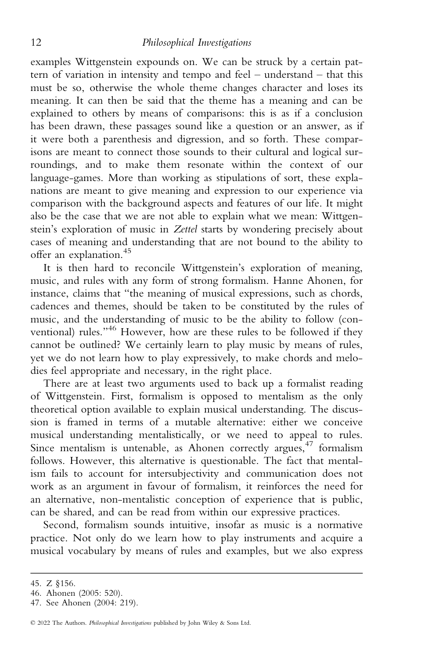examples Wittgenstein expounds on. We can be struck by a certain pattern of variation in intensity and tempo and feel – understand – that this must be so, otherwise the whole theme changes character and loses its meaning. It can then be said that the theme has a meaning and can be explained to others by means of comparisons: this is as if a conclusion has been drawn, these passages sound like a question or an answer, as if it were both a parenthesis and digression, and so forth. These comparisons are meant to connect those sounds to their cultural and logical surroundings, and to make them resonate within the context of our language-games. More than working as stipulations of sort, these explanations are meant to give meaning and expression to our experience via comparison with the background aspects and features of our life. It might also be the case that we are not able to explain what we mean: Wittgenstein's exploration of music in Zettel starts by wondering precisely about cases of meaning and understanding that are not bound to the ability to offer an explanation.<sup>45</sup>

It is then hard to reconcile Wittgenstein's exploration of meaning, music, and rules with any form of strong formalism. Hanne Ahonen, for instance, claims that "the meaning of musical expressions, such as chords, cadences and themes, should be taken to be constituted by the rules of music, and the understanding of music to be the ability to follow (conventional) rules."<sup>46</sup> However, how are these rules to be followed if they cannot be outlined? We certainly learn to play music by means of rules, yet we do not learn how to play expressively, to make chords and melodies feel appropriate and necessary, in the right place.

There are at least two arguments used to back up a formalist reading of Wittgenstein. First, formalism is opposed to mentalism as the only theoretical option available to explain musical understanding. The discussion is framed in terms of a mutable alternative: either we conceive musical understanding mentalistically, or we need to appeal to rules. Since mentalism is untenable, as Ahonen correctly argues,  $47$  formalism follows. However, this alternative is questionable. The fact that mentalism fails to account for intersubjectivity and communication does not work as an argument in favour of formalism, it reinforces the need for an alternative, non-mentalistic conception of experience that is public, can be shared, and can be read from within our expressive practices.

Second, formalism sounds intuitive, insofar as music is a normative practice. Not only do we learn how to play instruments and acquire a musical vocabulary by means of rules and examples, but we also express

<sup>45.</sup> Z §156.

<sup>46.</sup> Ahonen (2005: 520).

<sup>47.</sup> See Ahonen (2004: 219).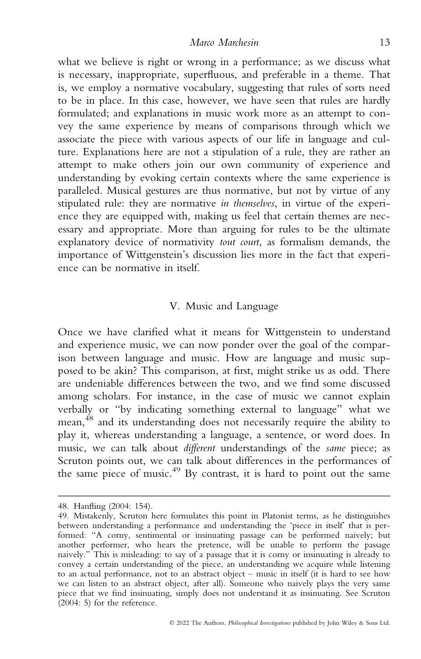what we believe is right or wrong in a performance; as we discuss what is necessary, inappropriate, superfluous, and preferable in a theme. That is, we employ a normative vocabulary, suggesting that rules of sorts need to be in place. In this case, however, we have seen that rules are hardly formulated; and explanations in music work more as an attempt to convey the same experience by means of comparisons through which we associate the piece with various aspects of our life in language and culture. Explanations here are not a stipulation of a rule, they are rather an attempt to make others join our own community of experience and understanding by evoking certain contexts where the same experience is paralleled. Musical gestures are thus normative, but not by virtue of any stipulated rule: they are normative in themselves, in virtue of the experience they are equipped with, making us feel that certain themes are necessary and appropriate. More than arguing for rules to be the ultimate explanatory device of normativity tout court, as formalism demands, the importance of Wittgenstein's discussion lies more in the fact that experience can be normative in itself.

### V. Music and Language

Once we have clarified what it means for Wittgenstein to understand and experience music, we can now ponder over the goal of the comparison between language and music. How are language and music supposed to be akin? This comparison, at first, might strike us as odd. There are undeniable differences between the two, and we find some discussed among scholars. For instance, in the case of music we cannot explain verbally or "by indicating something external to language" what we mean, <sup>48</sup> and its understanding does not necessarily require the ability to play it, whereas understanding a language, a sentence, or word does. In music, we can talk about different understandings of the same piece; as Scruton points out, we can talk about differences in the performances of the same piece of music. $49$  By contrast, it is hard to point out the same

<sup>48.</sup> Hanfling (2004: 154).

<sup>49.</sup> Mistakenly, Scruton here formulates this point in Platonist terms, as he distinguishes between understanding a performance and understanding the 'piece in itself' that is performed: "A corny, sentimental or insinuating passage can be performed naively; but another performer, who hears the pretence, will be unable to perform the passage naively." This is misleading: to say of a passage that it is corny or insinuating is already to convey a certain understanding of the piece, an understanding we acquire while listening to an actual performance, not to an abstract object – music in itself (it is hard to see how we can listen to an abstract object, after all). Someone who naively plays the very same piece that we find insinuating, simply does not understand it as insinuating. See Scruton  $(2004: 5)$  for the reference.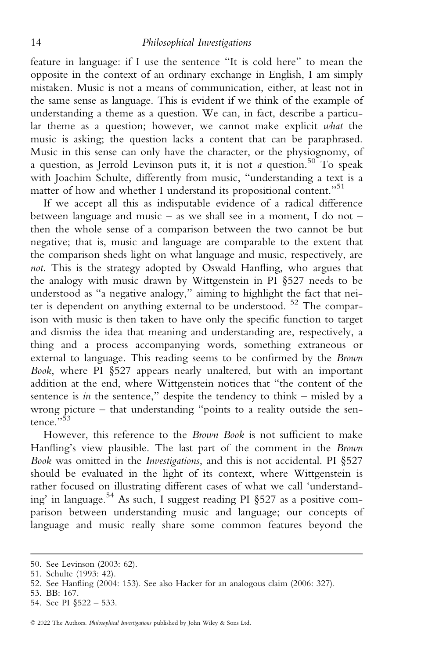feature in language: if I use the sentence "It is cold here" to mean the opposite in the context of an ordinary exchange in English, I am simply mistaken. Music is not a means of communication, either, at least not in the same sense as language. This is evident if we think of the example of understanding a theme as a question. We can, in fact, describe a particular theme as a question; however, we cannot make explicit what the music is asking; the question lacks a content that can be paraphrased. Music in this sense can only have the character, or the physiognomy, of a question, as Jerrold Levinson puts it, it is not a question.<sup>50</sup> To speak with Joachim Schulte, differently from music, "understanding a text is a matter of how and whether I understand its propositional content."<sup>51</sup>

If we accept all this as indisputable evidence of a radical difference between language and music – as we shall see in a moment, I do not – then the whole sense of a comparison between the two cannot be but negative; that is, music and language are comparable to the extent that the comparison sheds light on what language and music, respectively, are not. This is the strategy adopted by Oswald Hanfling, who argues that the analogy with music drawn by Wittgenstein in PI §527 needs to be understood as "a negative analogy," aiming to highlight the fact that neiter is dependent on anything external to be understood.  $52$  The comparison with music is then taken to have only the specific function to target and dismiss the idea that meaning and understanding are, respectively, a thing and a process accompanying words, something extraneous or external to language. This reading seems to be confirmed by the Brown Book, where PI §527 appears nearly unaltered, but with an important addition at the end, where Wittgenstein notices that "the content of the sentence is in the sentence," despite the tendency to think – misled by a wrong picture – that understanding "points to a reality outside the sentence.", 53

However, this reference to the Brown Book is not sufficient to make Hanfling's view plausible. The last part of the comment in the Brown Book was omitted in the Investigations, and this is not accidental. PI §527 should be evaluated in the light of its context, where Wittgenstein is rather focused on illustrating different cases of what we call 'understanding' in language.<sup>54</sup> As such, I suggest reading PI  $\S$ 527 as a positive comparison between understanding music and language; our concepts of language and music really share some common features beyond the

<sup>50.</sup> See Levinson (2003: 62).

<sup>51.</sup> Schulte (1993: 42).

<sup>52.</sup> See Hanfling (2004: 153). See also Hacker for an analogous claim (2006: 327).

<sup>53.</sup> BB: 167.

<sup>54.</sup> See PI §522 – 533.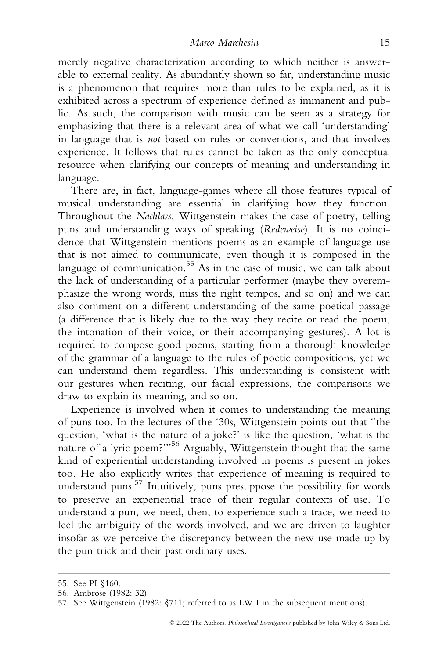merely negative characterization according to which neither is answerable to external reality. As abundantly shown so far, understanding music is a phenomenon that requires more than rules to be explained, as it is exhibited across a spectrum of experience defined as immanent and public. As such, the comparison with music can be seen as a strategy for emphasizing that there is a relevant area of what we call 'understanding' in language that is not based on rules or conventions, and that involves experience. It follows that rules cannot be taken as the only conceptual resource when clarifying our concepts of meaning and understanding in language.

There are, in fact, language-games where all those features typical of musical understanding are essential in clarifying how they function. Throughout the Nachlass, Wittgenstein makes the case of poetry, telling puns and understanding ways of speaking (Redeweise). It is no coincidence that Wittgenstein mentions poems as an example of language use that is not aimed to communicate, even though it is composed in the language of communication.<sup>55</sup> As in the case of music, we can talk about the lack of understanding of a particular performer (maybe they overemphasize the wrong words, miss the right tempos, and so on) and we can also comment on a different understanding of the same poetical passage (a difference that is likely due to the way they recite or read the poem, the intonation of their voice, or their accompanying gestures). A lot is required to compose good poems, starting from a thorough knowledge of the grammar of a language to the rules of poetic compositions, yet we can understand them regardless. This understanding is consistent with our gestures when reciting, our facial expressions, the comparisons we draw to explain its meaning, and so on.

Experience is involved when it comes to understanding the meaning of puns too. In the lectures of the '30s, Wittgenstein points out that "the question, 'what is the nature of a joke?' is like the question, 'what is the nature of a lyric poem?'"56 Arguably, Wittgenstein thought that the same kind of experiential understanding involved in poems is present in jokes too. He also explicitly writes that experience of meaning is required to understand puns.<sup>57</sup> Intuitively, puns presuppose the possibility for words to preserve an experiential trace of their regular contexts of use. To understand a pun, we need, then, to experience such a trace, we need to feel the ambiguity of the words involved, and we are driven to laughter insofar as we perceive the discrepancy between the new use made up by the pun trick and their past ordinary uses.

<sup>55.</sup> See PI §160.

<sup>56.</sup> Ambrose (1982: 32).

<sup>57.</sup> See Wittgenstein (1982: §711; referred to as LW I in the subsequent mentions).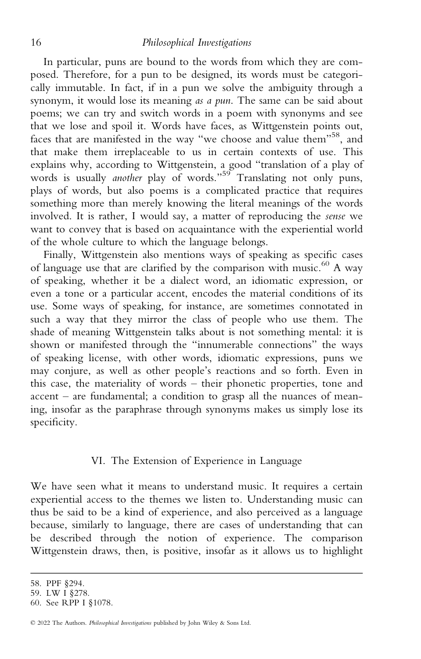In particular, puns are bound to the words from which they are composed. Therefore, for a pun to be designed, its words must be categorically immutable. In fact, if in a pun we solve the ambiguity through a synonym, it would lose its meaning as a pun. The same can be said about poems; we can try and switch words in a poem with synonyms and see that we lose and spoil it. Words have faces, as Wittgenstein points out, faces that are manifested in the way "we choose and value them"58, and that make them irreplaceable to us in certain contexts of use. This explains why, according to Wittgenstein, a good "translation of a play of words is usually another play of words."<sup>59</sup> Translating not only puns, plays of words, but also poems is a complicated practice that requires something more than merely knowing the literal meanings of the words involved. It is rather, I would say, a matter of reproducing the sense we want to convey that is based on acquaintance with the experiential world of the whole culture to which the language belongs.

Finally, Wittgenstein also mentions ways of speaking as specific cases of language use that are clarified by the comparison with music.<sup>60</sup> A way of speaking, whether it be a dialect word, an idiomatic expression, or even a tone or a particular accent, encodes the material conditions of its use. Some ways of speaking, for instance, are sometimes connotated in such a way that they mirror the class of people who use them. The shade of meaning Wittgenstein talks about is not something mental: it is shown or manifested through the "innumerable connections" the ways of speaking license, with other words, idiomatic expressions, puns we may conjure, as well as other people's reactions and so forth. Even in this case, the materiality of words – their phonetic properties, tone and accent – are fundamental; a condition to grasp all the nuances of meaning, insofar as the paraphrase through synonyms makes us simply lose its specificity.

#### VI. The Extension of Experience in Language

We have seen what it means to understand music. It requires a certain experiential access to the themes we listen to. Understanding music can thus be said to be a kind of experience, and also perceived as a language because, similarly to language, there are cases of understanding that can be described through the notion of experience. The comparison Wittgenstein draws, then, is positive, insofar as it allows us to highlight

<sup>58.</sup> PPF §294.

<sup>59.</sup> LW I §278.

<sup>60.</sup> See RPP I §1078.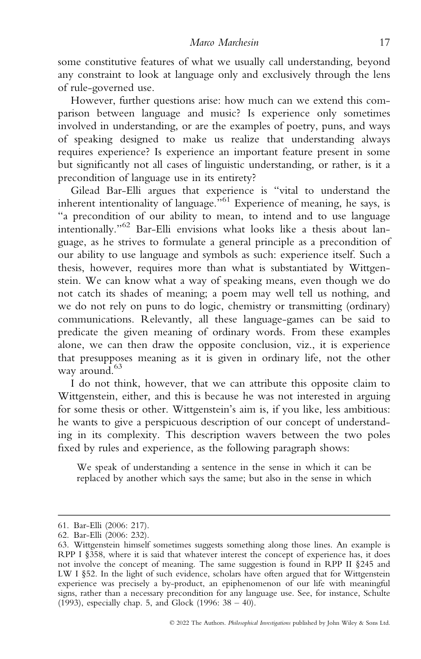some constitutive features of what we usually call understanding, beyond any constraint to look at language only and exclusively through the lens of rule-governed use.

However, further questions arise: how much can we extend this comparison between language and music? Is experience only sometimes involved in understanding, or are the examples of poetry, puns, and ways of speaking designed to make us realize that understanding always requires experience? Is experience an important feature present in some but significantly not all cases of linguistic understanding, or rather, is it a precondition of language use in its entirety?

Gilead Bar-Elli argues that experience is "vital to understand the inherent intentionality of language.<sup>5,61</sup> Experience of meaning, he says, is "a precondition of our ability to mean, to intend and to use language intentionally."<sup>62</sup> Bar-Elli envisions what looks like a thesis about language, as he strives to formulate a general principle as a precondition of our ability to use language and symbols as such: experience itself. Such a thesis, however, requires more than what is substantiated by Wittgenstein. We can know what a way of speaking means, even though we do not catch its shades of meaning; a poem may well tell us nothing, and we do not rely on puns to do logic, chemistry or transmitting (ordinary) communications. Relevantly, all these language-games can be said to predicate the given meaning of ordinary words. From these examples alone, we can then draw the opposite conclusion, viz., it is experience that presupposes meaning as it is given in ordinary life, not the other way around.<sup>63</sup>

I do not think, however, that we can attribute this opposite claim to Wittgenstein, either, and this is because he was not interested in arguing for some thesis or other. Wittgenstein's aim is, if you like, less ambitious: he wants to give a perspicuous description of our concept of understanding in its complexity. This description wavers between the two poles fixed by rules and experience, as the following paragraph shows:

We speak of understanding a sentence in the sense in which it can be replaced by another which says the same; but also in the sense in which

<sup>61.</sup> Bar-Elli (2006: 217).

<sup>62.</sup> Bar-Elli (2006: 232).

<sup>63.</sup> Wittgenstein himself sometimes suggests something along those lines. An example is RPP I §358, where it is said that whatever interest the concept of experience has, it does not involve the concept of meaning. The same suggestion is found in RPP II §245 and LW I §52. In the light of such evidence, scholars have often argued that for Wittgenstein experience was precisely a by-product, an epiphenomenon of our life with meaningful signs, rather than a necessary precondition for any language use. See, for instance, Schulte (1993), especially chap. 5, and Glock (1996: 38 – 40).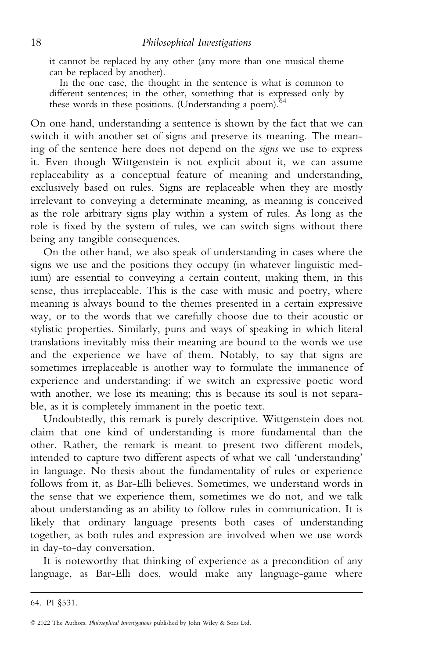it cannot be replaced by any other (any more than one musical theme can be replaced by another).

In the one case, the thought in the sentence is what is common to different sentences; in the other, something that is expressed only by these words in these positions. (Understanding a poem).  $64$ 

On one hand, understanding a sentence is shown by the fact that we can switch it with another set of signs and preserve its meaning. The meaning of the sentence here does not depend on the signs we use to express it. Even though Wittgenstein is not explicit about it, we can assume replaceability as a conceptual feature of meaning and understanding, exclusively based on rules. Signs are replaceable when they are mostly irrelevant to conveying a determinate meaning, as meaning is conceived as the role arbitrary signs play within a system of rules. As long as the role is fixed by the system of rules, we can switch signs without there being any tangible consequences.

On the other hand, we also speak of understanding in cases where the signs we use and the positions they occupy (in whatever linguistic medium) are essential to conveying a certain content, making them, in this sense, thus irreplaceable. This is the case with music and poetry, where meaning is always bound to the themes presented in a certain expressive way, or to the words that we carefully choose due to their acoustic or stylistic properties. Similarly, puns and ways of speaking in which literal translations inevitably miss their meaning are bound to the words we use and the experience we have of them. Notably, to say that signs are sometimes irreplaceable is another way to formulate the immanence of experience and understanding: if we switch an expressive poetic word with another, we lose its meaning; this is because its soul is not separable, as it is completely immanent in the poetic text.

Undoubtedly, this remark is purely descriptive. Wittgenstein does not claim that one kind of understanding is more fundamental than the other. Rather, the remark is meant to present two different models, intended to capture two different aspects of what we call 'understanding' in language. No thesis about the fundamentality of rules or experience follows from it, as Bar-Elli believes. Sometimes, we understand words in the sense that we experience them, sometimes we do not, and we talk about understanding as an ability to follow rules in communication. It is likely that ordinary language presents both cases of understanding together, as both rules and expression are involved when we use words in day-to-day conversation.

It is noteworthy that thinking of experience as a precondition of any language, as Bar-Elli does, would make any language-game where

<sup>64.</sup> PI §531.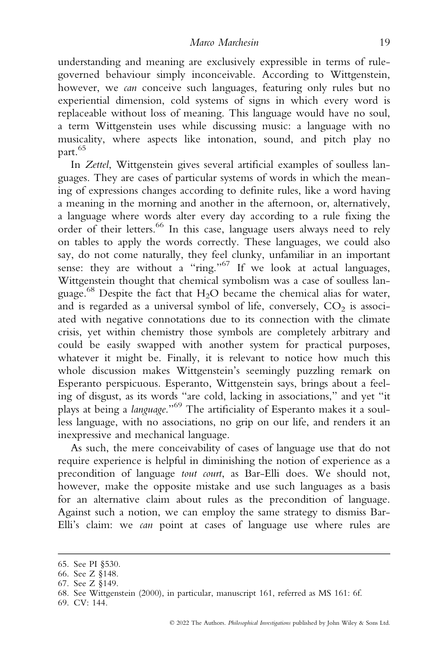understanding and meaning are exclusively expressible in terms of rulegoverned behaviour simply inconceivable. According to Wittgenstein, however, we can conceive such languages, featuring only rules but no experiential dimension, cold systems of signs in which every word is replaceable without loss of meaning. This language would have no soul, a term Wittgenstein uses while discussing music: a language with no musicality, where aspects like intonation, sound, and pitch play no part.<sup>65</sup>

In Zettel, Wittgenstein gives several artificial examples of soulless languages. They are cases of particular systems of words in which the meaning of expressions changes according to definite rules, like a word having a meaning in the morning and another in the afternoon, or, alternatively, a language where words alter every day according to a rule fixing the order of their letters.<sup>66</sup> In this case, language users always need to rely on tables to apply the words correctly. These languages, we could also say, do not come naturally, they feel clunky, unfamiliar in an important sense: they are without a "ring."<sup>67</sup> If we look at actual languages, Wittgenstein thought that chemical symbolism was a case of soulless language.<sup>68</sup> Despite the fact that H<sub>2</sub>O became the chemical alias for water, and is regarded as a universal symbol of life, conversely,  $CO<sub>2</sub>$  is associated with negative connotations due to its connection with the climate crisis, yet within chemistry those symbols are completely arbitrary and could be easily swapped with another system for practical purposes, whatever it might be. Finally, it is relevant to notice how much this whole discussion makes Wittgenstein's seemingly puzzling remark on Esperanto perspicuous. Esperanto, Wittgenstein says, brings about a feeling of disgust, as its words "are cold, lacking in associations," and yet "it plays at being a language."69 The artificiality of Esperanto makes it a soulless language, with no associations, no grip on our life, and renders it an inexpressive and mechanical language.

As such, the mere conceivability of cases of language use that do not require experience is helpful in diminishing the notion of experience as a precondition of language tout court, as Bar-Elli does. We should not, however, make the opposite mistake and use such languages as a basis for an alternative claim about rules as the precondition of language. Against such a notion, we can employ the same strategy to dismiss Bar-Elli's claim: we can point at cases of language use where rules are

<sup>65.</sup> See PI §530.

<sup>66.</sup> See Z §148.

<sup>67.</sup> See Z §149.

<sup>68.</sup> See Wittgenstein (2000), in particular, manuscript 161, referred as MS 161: 6f.

<sup>69.</sup> CV: 144.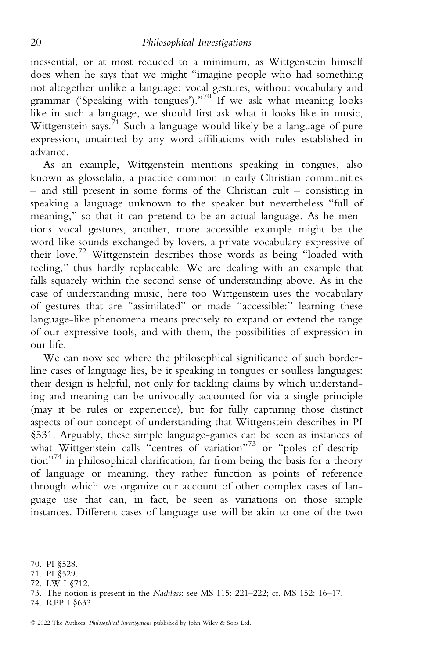inessential, or at most reduced to a minimum, as Wittgenstein himself does when he says that we might "imagine people who had something not altogether unlike a language: vocal gestures, without vocabulary and grammar ('Speaking with tongues')."<sup>70</sup> If we ask what meaning looks like in such a language, we should first ask what it looks like in music, Wittgenstein says.<sup>71</sup> Such a language would likely be a language of pure expression, untainted by any word affiliations with rules established in advance.

As an example, Wittgenstein mentions speaking in tongues, also known as glossolalia, a practice common in early Christian communities  $-$  and still present in some forms of the Christian cult – consisting in speaking a language unknown to the speaker but nevertheless "full of meaning," so that it can pretend to be an actual language. As he mentions vocal gestures, another, more accessible example might be the word-like sounds exchanged by lovers, a private vocabulary expressive of their love.<sup>72</sup> Wittgenstein describes those words as being "loaded with feeling," thus hardly replaceable. We are dealing with an example that falls squarely within the second sense of understanding above. As in the case of understanding music, here too Wittgenstein uses the vocabulary of gestures that are "assimilated" or made "accessible:" learning these language-like phenomena means precisely to expand or extend the range of our expressive tools, and with them, the possibilities of expression in our life.

We can now see where the philosophical significance of such borderline cases of language lies, be it speaking in tongues or soulless languages: their design is helpful, not only for tackling claims by which understanding and meaning can be univocally accounted for via a single principle (may it be rules or experience), but for fully capturing those distinct aspects of our concept of understanding that Wittgenstein describes in PI §531. Arguably, these simple language-games can be seen as instances of what Wittgenstein calls "centres of variation"<sup>73</sup> or "poles of description"<sup>74</sup> in philosophical clarification; far from being the basis for a theory of language or meaning, they rather function as points of reference through which we organize our account of other complex cases of language use that can, in fact, be seen as variations on those simple instances. Different cases of language use will be akin to one of the two

<sup>70.</sup> PI §528.

<sup>71.</sup> PI §529.

<sup>72.</sup> LW I §712.

<sup>73.</sup> The notion is present in the Nachlass: see MS 115: 221–222; cf. MS 152: 16–17.

<sup>74.</sup> RPP I §633.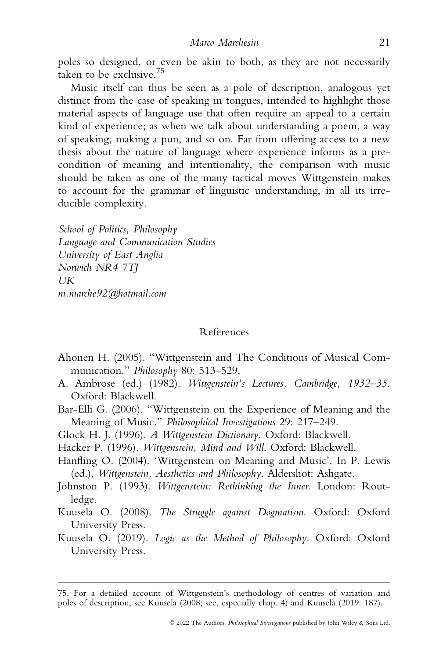poles so designed, or even be akin to both, as they are not necessarily taken to be exclusive.75

Music itself can thus be seen as a pole of description, analogous yet distinct from the case of speaking in tongues, intended to highlight those material aspects of language use that often require an appeal to a certain kind of experience; as when we talk about understanding a poem, a way of speaking, making a pun, and so on. Far from offering access to a new thesis about the nature of language where experience informs as a precondition of meaning and intentionality, the comparison with music should be taken as one of the many tactical moves Wittgenstein makes to account for the grammar of linguistic understanding, in all its irreducible complexity.

School of Politics, Philosophy Language and Communication Studies University of East Anglia Norwich NR4 7TJ  $I$ <sub>I</sub>K m.marche92@hotmail.com

#### References

- Ahonen H. (2005). "Wittgenstein and The Conditions of Musical Communication." Philosophy 80: 513-529.
- A. Ambrose (ed.) (1982). Wittgenstein's Lectures, Cambridge, 1932–35. Oxford: Blackwell.
- Bar-Elli G. (2006). "Wittgenstein on the Experience of Meaning and the Meaning of Music." Philosophical Investigations 29: 217–249.
- Glock H. J. (1996). A Wittgenstein Dictionary. Oxford: Blackwell.
- Hacker P. (1996). Wittgenstein, Mind and Will. Oxford: Blackwell.
- Hanfling O. (2004). 'Wittgenstein on Meaning and Music'. In P. Lewis (ed.), Wittgenstein, Aesthetics and Philosophy. Aldershot: Ashgate.
- Johnston P. (1993). Wittgenstein: Rethinking the Inner. London: Routledge.
- Kuusela O. (2008). The Struggle against Dogmatism. Oxford: Oxford University Press.
- Kuusela O. (2019). Logic as the Method of Philosophy. Oxford: Oxford University Press.

<sup>75.</sup> For a detailed account of Wittgenstein's methodology of centres of variation and poles of description, see Kuusela (2008; see, especially chap. 4) and Kuusela (2019: 187).